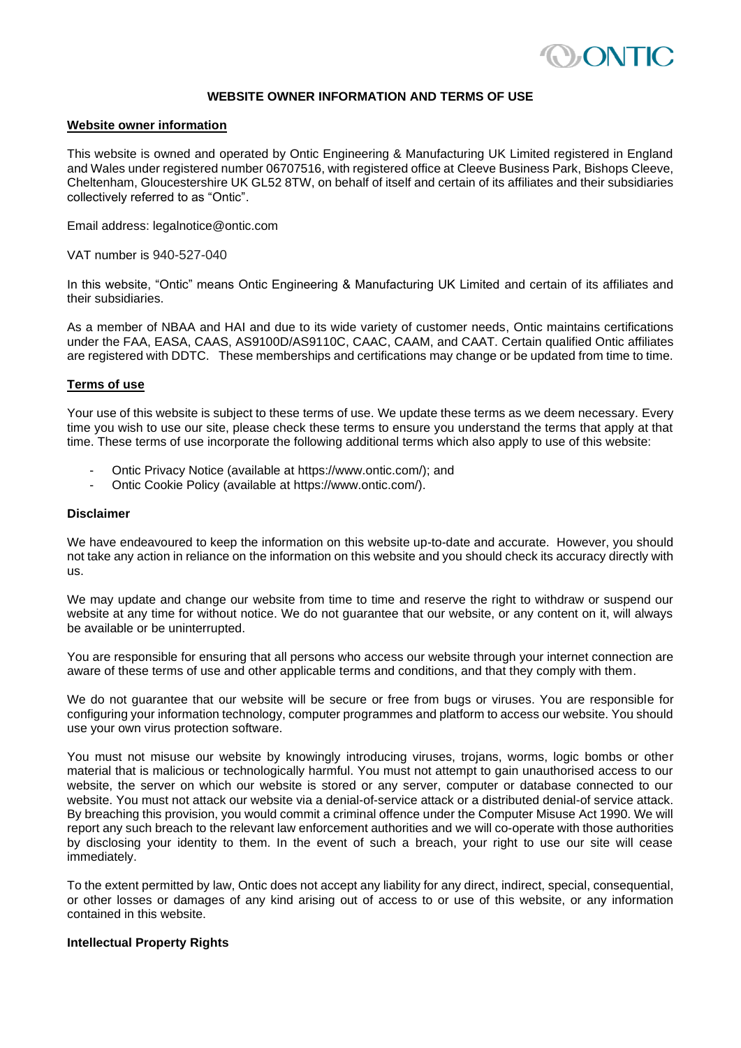

# **WEBSITE OWNER INFORMATION AND TERMS OF USE**

## **Website owner information**

This website is owned and operated by Ontic Engineering & Manufacturing UK Limited registered in England and Wales under registered number 06707516, with registered office at Cleeve Business Park, Bishops Cleeve, Cheltenham, Gloucestershire UK GL52 8TW, on behalf of itself and certain of its affiliates and their subsidiaries collectively referred to as "Ontic".

Email address: legalnotice@ontic.com

VAT number is 940-527-040

In this website, "Ontic" means Ontic Engineering & Manufacturing UK Limited and certain of its affiliates and their subsidiaries.

As a member of NBAA and HAI and due to its wide variety of customer needs, Ontic maintains certifications under the FAA, EASA, CAAS, AS9100D/AS9110C, CAAC, CAAM, and CAAT. Certain qualified Ontic affiliates are registered with DDTC. These memberships and certifications may change or be updated from time to time.

## **Terms of use**

Your use of this website is subject to these terms of use. We update these terms as we deem necessary. Every time you wish to use our site, please check these terms to ensure you understand the terms that apply at that time. These terms of use incorporate the following additional terms which also apply to use of this website:

- Ontic Privacy Notice (available at https://www.ontic.com/); and
- Ontic Cookie Policy (available at https://www.ontic.com/).

#### **Disclaimer**

We have endeavoured to keep the information on this website up-to-date and accurate. However, you should not take any action in reliance on the information on this website and you should check its accuracy directly with us.

We may update and change our website from time to time and reserve the right to withdraw or suspend our website at any time for without notice. We do not guarantee that our website, or any content on it, will always be available or be uninterrupted.

You are responsible for ensuring that all persons who access our website through your internet connection are aware of these terms of use and other applicable terms and conditions, and that they comply with them.

We do not guarantee that our website will be secure or free from bugs or viruses. You are responsible for configuring your information technology, computer programmes and platform to access our website. You should use your own virus protection software.

You must not misuse our website by knowingly introducing viruses, trojans, worms, logic bombs or other material that is malicious or technologically harmful. You must not attempt to gain unauthorised access to our website, the server on which our website is stored or any server, computer or database connected to our website. You must not attack our website via a denial-of-service attack or a distributed denial-of service attack. By breaching this provision, you would commit a criminal offence under the Computer Misuse Act 1990. We will report any such breach to the relevant law enforcement authorities and we will co-operate with those authorities by disclosing your identity to them. In the event of such a breach, your right to use our site will cease immediately.

To the extent permitted by law, Ontic does not accept any liability for any direct, indirect, special, consequential, or other losses or damages of any kind arising out of access to or use of this website, or any information contained in this website.

# **Intellectual Property Rights**